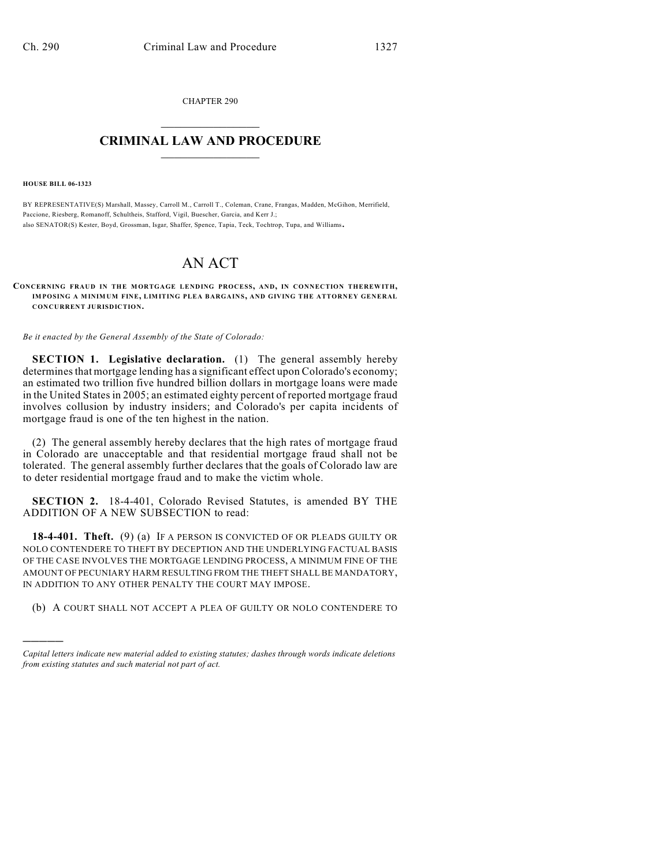CHAPTER 290  $\overline{\phantom{a}}$  . The set of the set of the set of the set of the set of the set of the set of the set of the set of the set of the set of the set of the set of the set of the set of the set of the set of the set of the set o

## **CRIMINAL LAW AND PROCEDURE**  $\frac{1}{2}$  ,  $\frac{1}{2}$  ,  $\frac{1}{2}$  ,  $\frac{1}{2}$  ,  $\frac{1}{2}$  ,  $\frac{1}{2}$  ,  $\frac{1}{2}$

**HOUSE BILL 06-1323**

)))))

BY REPRESENTATIVE(S) Marshall, Massey, Carroll M., Carroll T., Coleman, Crane, Frangas, Madden, McGihon, Merrifield, Paccione, Riesberg, Romanoff, Schultheis, Stafford, Vigil, Buescher, Garcia, and Kerr J.; also SENATOR(S) Kester, Boyd, Grossman, Isgar, Shaffer, Spence, Tapia, Teck, Tochtrop, Tupa, and Williams.

## AN ACT

**CONCERNING FRAUD IN THE M ORTGAGE LENDING PROCESS, AND, IN CONNECTION THEREWITH, IMPOSING A MINIMUM FINE, LIMITING PLEA BARGAINS, AND GIVING THE ATTORNEY GENERAL CONCURRENT JURISDICTION.**

*Be it enacted by the General Assembly of the State of Colorado:*

**SECTION 1. Legislative declaration.** (1) The general assembly hereby determines that mortgage lending has a significant effect upon Colorado's economy; an estimated two trillion five hundred billion dollars in mortgage loans were made in the United States in 2005; an estimated eighty percent of reported mortgage fraud involves collusion by industry insiders; and Colorado's per capita incidents of mortgage fraud is one of the ten highest in the nation.

(2) The general assembly hereby declares that the high rates of mortgage fraud in Colorado are unacceptable and that residential mortgage fraud shall not be tolerated. The general assembly further declares that the goals of Colorado law are to deter residential mortgage fraud and to make the victim whole.

**SECTION 2.** 18-4-401, Colorado Revised Statutes, is amended BY THE ADDITION OF A NEW SUBSECTION to read:

**18-4-401. Theft.** (9) (a) IF A PERSON IS CONVICTED OF OR PLEADS GUILTY OR NOLO CONTENDERE TO THEFT BY DECEPTION AND THE UNDERLYING FACTUAL BASIS OF THE CASE INVOLVES THE MORTGAGE LENDING PROCESS, A MINIMUM FINE OF THE AMOUNT OF PECUNIARY HARM RESULTING FROM THE THEFT SHALL BE MANDATORY, IN ADDITION TO ANY OTHER PENALTY THE COURT MAY IMPOSE.

(b) A COURT SHALL NOT ACCEPT A PLEA OF GUILTY OR NOLO CONTENDERE TO

*Capital letters indicate new material added to existing statutes; dashes through words indicate deletions from existing statutes and such material not part of act.*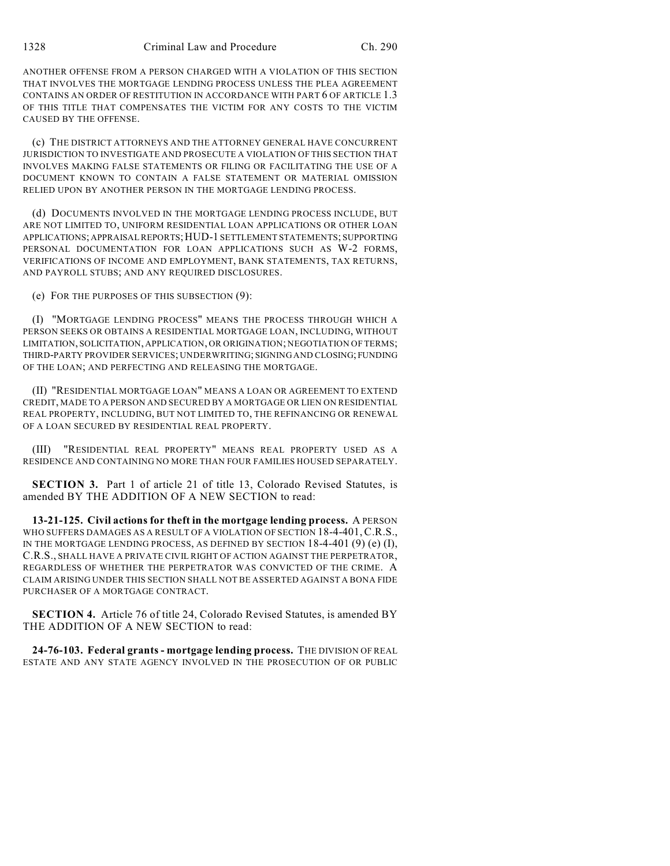ANOTHER OFFENSE FROM A PERSON CHARGED WITH A VIOLATION OF THIS SECTION THAT INVOLVES THE MORTGAGE LENDING PROCESS UNLESS THE PLEA AGREEMENT CONTAINS AN ORDER OF RESTITUTION IN ACCORDANCE WITH PART 6 OF ARTICLE 1.3 OF THIS TITLE THAT COMPENSATES THE VICTIM FOR ANY COSTS TO THE VICTIM CAUSED BY THE OFFENSE.

(c) THE DISTRICT ATTORNEYS AND THE ATTORNEY GENERAL HAVE CONCURRENT JURISDICTION TO INVESTIGATE AND PROSECUTE A VIOLATION OF THIS SECTION THAT INVOLVES MAKING FALSE STATEMENTS OR FILING OR FACILITATING THE USE OF A DOCUMENT KNOWN TO CONTAIN A FALSE STATEMENT OR MATERIAL OMISSION RELIED UPON BY ANOTHER PERSON IN THE MORTGAGE LENDING PROCESS.

(d) DOCUMENTS INVOLVED IN THE MORTGAGE LENDING PROCESS INCLUDE, BUT ARE NOT LIMITED TO, UNIFORM RESIDENTIAL LOAN APPLICATIONS OR OTHER LOAN APPLICATIONS; APPRAISAL REPORTS;HUD-1 SETTLEMENT STATEMENTS; SUPPORTING PERSONAL DOCUMENTATION FOR LOAN APPLICATIONS SUCH AS W-2 FORMS, VERIFICATIONS OF INCOME AND EMPLOYMENT, BANK STATEMENTS, TAX RETURNS, AND PAYROLL STUBS; AND ANY REQUIRED DISCLOSURES.

(e) FOR THE PURPOSES OF THIS SUBSECTION (9):

(I) "MORTGAGE LENDING PROCESS" MEANS THE PROCESS THROUGH WHICH A PERSON SEEKS OR OBTAINS A RESIDENTIAL MORTGAGE LOAN, INCLUDING, WITHOUT LIMITATION, SOLICITATION, APPLICATION, OR ORIGINATION; NEGOTIATION OF TERMS; THIRD-PARTY PROVIDER SERVICES; UNDERWRITING; SIGNING AND CLOSING; FUNDING OF THE LOAN; AND PERFECTING AND RELEASING THE MORTGAGE.

(II) "RESIDENTIAL MORTGAGE LOAN" MEANS A LOAN OR AGREEMENT TO EXTEND CREDIT, MADE TO A PERSON AND SECURED BY A MORTGAGE OR LIEN ON RESIDENTIAL REAL PROPERTY, INCLUDING, BUT NOT LIMITED TO, THE REFINANCING OR RENEWAL OF A LOAN SECURED BY RESIDENTIAL REAL PROPERTY.

(III) "RESIDENTIAL REAL PROPERTY" MEANS REAL PROPERTY USED AS A RESIDENCE AND CONTAINING NO MORE THAN FOUR FAMILIES HOUSED SEPARATELY.

**SECTION 3.** Part 1 of article 21 of title 13, Colorado Revised Statutes, is amended BY THE ADDITION OF A NEW SECTION to read:

**13-21-125. Civil actions for theft in the mortgage lending process.** A PERSON WHO SUFFERS DAMAGES AS A RESULT OF A VIOLATION OF SECTION 18-4-401, C.R.S., IN THE MORTGAGE LENDING PROCESS, AS DEFINED BY SECTION 18-4-401 (9) (e) (I), C.R.S., SHALL HAVE A PRIVATE CIVIL RIGHT OF ACTION AGAINST THE PERPETRATOR, REGARDLESS OF WHETHER THE PERPETRATOR WAS CONVICTED OF THE CRIME. A CLAIM ARISING UNDER THIS SECTION SHALL NOT BE ASSERTED AGAINST A BONA FIDE PURCHASER OF A MORTGAGE CONTRACT.

**SECTION 4.** Article 76 of title 24, Colorado Revised Statutes, is amended BY THE ADDITION OF A NEW SECTION to read:

**24-76-103. Federal grants - mortgage lending process.** THE DIVISION OF REAL ESTATE AND ANY STATE AGENCY INVOLVED IN THE PROSECUTION OF OR PUBLIC